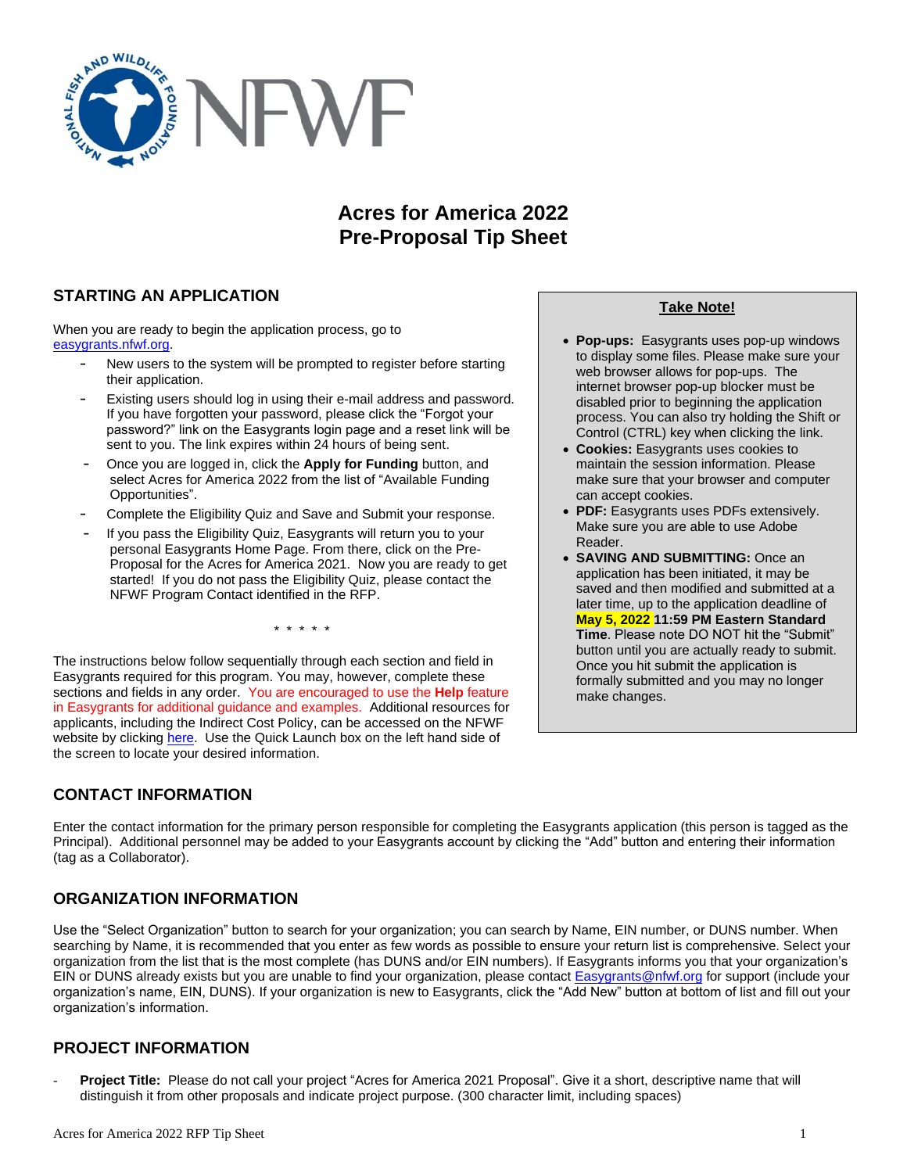

# **Acres for America 2022 Pre-Proposal Tip Sheet**

# **STARTING AN APPLICATION**

When you are ready to begin the application process, go to [easygrants.nfwf.org.](https://easygrants.nfwf.org/)

- New users to the system will be prompted to register before starting their application.
- Existing users should log in using their e-mail address and password. If you have forgotten your password, please click the "Forgot your password?" link on the Easygrants login page and a reset link will be sent to you. The link expires within 24 hours of being sent.
- Once you are logged in, click the **Apply for Funding** button, and select Acres for America 2022 from the list of "Available Funding Opportunities".
- Complete the Eligibility Quiz and Save and Submit your response.
- If you pass the Eligibility Quiz, Easygrants will return you to your personal Easygrants Home Page. From there, click on the Pre-Proposal for the Acres for America 2021. Now you are ready to get started! If you do not pass the Eligibility Quiz, please contact the NFWF Program Contact identified in the RFP.

\* \* \* \* \*

The instructions below follow sequentially through each section and field in Easygrants required for this program. You may, however, complete these sections and fields in any order. You are encouraged to use the **Help** feature in Easygrants for additional guidance and examples. Additional resources for applicants, including the Indirect Cost Policy, can be accessed on the NFWF website by clicking [here.](http://www.nfwf.org/whatwedo/grants/applicants/Pages/home.aspx) Use the Quick Launch box on the left hand side of the screen to locate your desired information.

# **CONTACT INFORMATION**

**Take Note!**

- **Pop-ups:** Easygrants uses pop-up windows to display some files. Please make sure your web browser allows for pop-ups. The internet browser pop-up blocker must be disabled prior to beginning the application process. You can also try holding the Shift or Control (CTRL) key when clicking the link.
- **Cookies:** Easygrants uses cookies to maintain the session information. Please make sure that your browser and computer can accept cookies.
- **PDF:** Easygrants uses PDFs extensively. Make sure you are able to use Adobe Reader.
- **SAVING AND SUBMITTING:** Once an application has been initiated, it may be saved and then modified and submitted at a later time, up to the application deadline of **May 5, 2022 11:59 PM Eastern Standard Time**. Please note DO NOT hit the "Submit" button until you are actually ready to submit. Once you hit submit the application is formally submitted and you may no longer make changes.

Enter the contact information for the primary person responsible for completing the Easygrants application (this person is tagged as the Principal). Additional personnel may be added to your Easygrants account by clicking the "Add" button and entering their information (tag as a Collaborator).

# **ORGANIZATION INFORMATION**

Use the "Select Organization" button to search for your organization; you can search by Name, EIN number, or DUNS number. When searching by Name, it is recommended that you enter as few words as possible to ensure your return list is comprehensive. Select your organization from the list that is the most complete (has DUNS and/or EIN numbers). If Easygrants informs you that your organization's EIN or DUNS already exists but you are unable to find your organization, please contact **Easygrants@nfwf.org for support (include your** organization's name, EIN, DUNS). If your organization is new to Easygrants, click the "Add New" button at bottom of list and fill out your organization's information.

# **PROJECT INFORMATION**

- **Project Title:** Please do not call your project "Acres for America 2021 Proposal". Give it a short, descriptive name that will distinguish it from other proposals and indicate project purpose. (300 character limit, including spaces)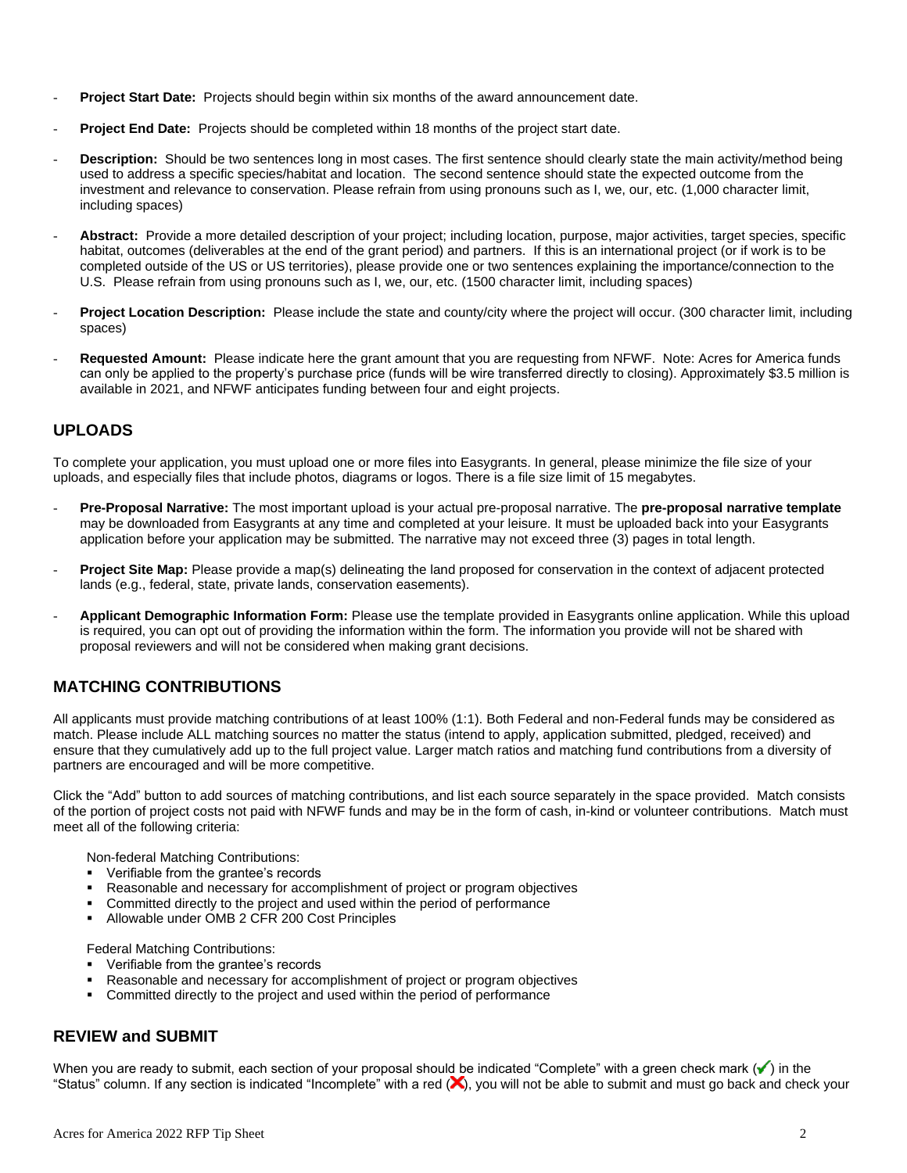- **Project Start Date:** Projects should begin within six months of the award announcement date.
- **Project End Date:** Projects should be completed within 18 months of the project start date.
- **Description:** Should be two sentences long in most cases. The first sentence should clearly state the main activity/method being used to address a specific species/habitat and location. The second sentence should state the expected outcome from the investment and relevance to conservation. Please refrain from using pronouns such as I, we, our, etc. (1,000 character limit, including spaces)
- Abstract: Provide a more detailed description of your project; including location, purpose, major activities, target species, specific habitat, outcomes (deliverables at the end of the grant period) and partners. If this is an international project (or if work is to be completed outside of the US or US territories), please provide one or two sentences explaining the importance/connection to the U.S. Please refrain from using pronouns such as I, we, our, etc. (1500 character limit, including spaces)
- **Project Location Description:** Please include the state and county/city where the project will occur. (300 character limit, including spaces)
- **Requested Amount:** Please indicate here the grant amount that you are requesting from NFWF. Note: Acres for America funds can only be applied to the property's purchase price (funds will be wire transferred directly to closing). Approximately \$3.5 million is available in 2021, and NFWF anticipates funding between four and eight projects.

## **UPLOADS**

To complete your application, you must upload one or more files into Easygrants. In general, please minimize the file size of your uploads, and especially files that include photos, diagrams or logos. There is a file size limit of 15 megabytes.

- **Pre-Proposal Narrative:** The most important upload is your actual pre-proposal narrative. The **pre-proposal narrative template** may be downloaded from Easygrants at any time and completed at your leisure. It must be uploaded back into your Easygrants application before your application may be submitted. The narrative may not exceed three (3) pages in total length.
- **Project Site Map:** Please provide a map(s) delineating the land proposed for conservation in the context of adjacent protected lands (e.g., federal, state, private lands, conservation easements).
- **Applicant Demographic Information Form:** Please use the template provided in Easygrants online application. While this upload is required, you can opt out of providing the information within the form. The information you provide will not be shared with proposal reviewers and will not be considered when making grant decisions.

## **MATCHING CONTRIBUTIONS**

All applicants must provide matching contributions of at least 100% (1:1). Both Federal and non-Federal funds may be considered as match. Please include ALL matching sources no matter the status (intend to apply, application submitted, pledged, received) and ensure that they cumulatively add up to the full project value. Larger match ratios and matching fund contributions from a diversity of partners are encouraged and will be more competitive.

Click the "Add" button to add sources of matching contributions, and list each source separately in the space provided. Match consists of the portion of project costs not paid with NFWF funds and may be in the form of cash, in-kind or volunteer contributions. Match must meet all of the following criteria:

Non-federal Matching Contributions:

- Verifiable from the grantee's records
- Reasonable and necessary for accomplishment of project or program objectives
- Committed directly to the project and used within the period of performance
- Allowable under OMB 2 CFR 200 Cost Principles

Federal Matching Contributions:

- Verifiable from the grantee's records
- Reasonable and necessary for accomplishment of project or program objectives
- Committed directly to the project and used within the period of performance

## **REVIEW and SUBMIT**

When you are ready to submit, each section of your proposal should be indicated "Complete" with a green check mark  $(\checkmark)$  in the "Status" column. If any section is indicated "Incomplete" with a red  $(x)$ , you will not be able to submit and must go back and check your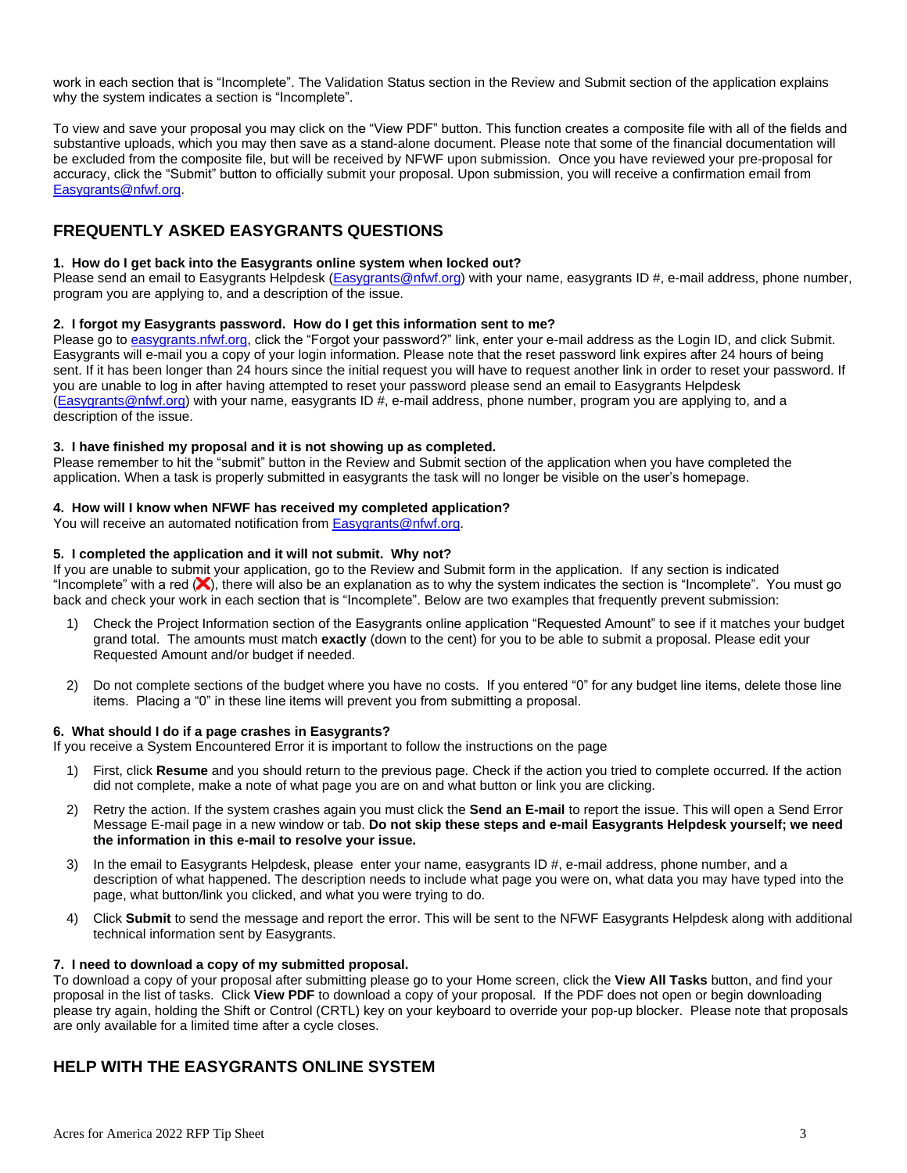work in each section that is "Incomplete". The Validation Status section in the Review and Submit section of the application explains why the system indicates a section is "Incomplete".

To view and save your proposal you may click on the "View PDF" button. This function creates a composite file with all of the fields and substantive uploads, which you may then save as a stand-alone document. Please note that some of the financial documentation will be excluded from the composite file, but will be received by NFWF upon submission. Once you have reviewed your pre-proposal for accuracy, click the "Submit" button to officially submit your proposal. Upon submission, you will receive a confirmation email from [Easygrants@nfwf.org.](mailto:Easygrants@nfwf.org)

## **FREQUENTLY ASKED EASYGRANTS QUESTIONS**

### **1. How do I get back into the Easygrants online system when locked out?**

Please send an email to Easygrants Helpdesk [\(Easygrants@nfwf.org\)](mailto:Easygrants@nfwf.org) with your name, easygrants ID #, e-mail address, phone number, program you are applying to, and a description of the issue.

### **2. I forgot my Easygrants password. How do I get this information sent to me?**

Please go to [easygrants.nfwf.org,](https://easygrants.nfwf.org/) click the "Forgot your password?" link, enter your e-mail address as the Login ID, and click Submit. Easygrants will e-mail you a copy of your login information. Please note that the reset password link expires after 24 hours of being sent. If it has been longer than 24 hours since the initial request you will have to request another link in order to reset your password. If you are unable to log in after having attempted to reset your password please send an email to Easygrants Helpdesk [\(Easygrants@nfwf.org\)](mailto:Easygrants@nfwf.org) with your name, easygrants ID #, e-mail address, phone number, program you are applying to, and a description of the issue.

### **3. I have finished my proposal and it is not showing up as completed.**

Please remember to hit the "submit" button in the Review and Submit section of the application when you have completed the application. When a task is properly submitted in easygrants the task will no longer be visible on the user's homepage.

### **4. How will I know when NFWF has received my completed application?**

You will receive an automated notification fro[m Easygrants@nfwf.org.](mailto:Easygrants@nfwf.org)

### **5. I completed the application and it will not submit. Why not?**

If you are unable to submit your application, go to the Review and Submit form in the application.If any section is indicated "Incomplete" with a red  $(x)$ , there will also be an explanation as to why the system indicates the section is "Incomplete". You must go back and check your work in each section that is "Incomplete". Below are two examples that frequently prevent submission:

- 1) Check the Project Information section of the Easygrants online application "Requested Amount" to see if it matches your budget grand total. The amounts must match **exactly** (down to the cent) for you to be able to submit a proposal. Please edit your Requested Amount and/or budget if needed.
- 2) Do not complete sections of the budget where you have no costs. If you entered "0" for any budget line items, delete those line items. Placing a "0" in these line items will prevent you from submitting a proposal.

### **6. What should I do if a page crashes in Easygrants?**

If you receive a System Encountered Error it is important to follow the instructions on the page

- 1) First, click **Resume** and you should return to the previous page. Check if the action you tried to complete occurred. If the action did not complete, make a note of what page you are on and what button or link you are clicking.
- 2) Retry the action. If the system crashes again you must click the **Send an E-mail** to report the issue. This will open a Send Error Message E-mail page in a new window or tab. **Do not skip these steps and e-mail Easygrants Helpdesk yourself; we need the information in this e-mail to resolve your issue.**
- 3) In the email to Easygrants Helpdesk, please enter your name, easygrants ID  $#$ , e-mail address, phone number, and a description of what happened. The description needs to include what page you were on, what data you may have typed into the page, what button/link you clicked, and what you were trying to do.
- 4) Click **Submit** to send the message and report the error. This will be sent to the NFWF Easygrants Helpdesk along with additional technical information sent by Easygrants.

#### **7. I need to download a copy of my submitted proposal.**

To download a copy of your proposal after submitting please go to your Home screen, click the **View All Tasks** button, and find your proposal in the list of tasks. Click **View PDF** to download a copy of your proposal. If the PDF does not open or begin downloading please try again, holding the Shift or Control (CRTL) key on your keyboard to override your pop-up blocker. Please note that proposals are only available for a limited time after a cycle closes.

## **HELP WITH THE EASYGRANTS ONLINE SYSTEM**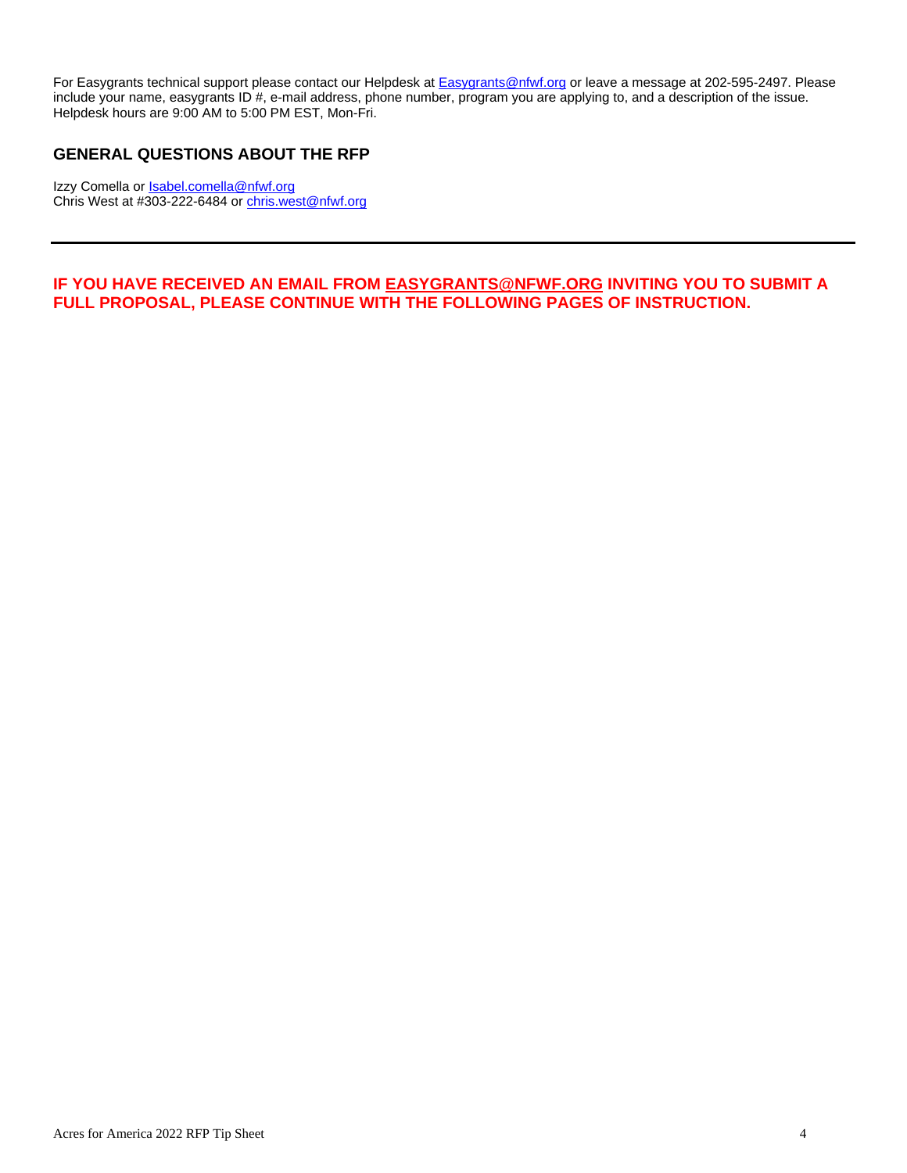For Easygrants technical support please contact our Helpdesk at **Easygrants@nfwf.org** or leave a message at 202-595-2497. Please include your name, easygrants ID #, e-mail address, phone number, program you are applying to, and a description of the issue. Helpdesk hours are 9:00 AM to 5:00 PM EST, Mon-Fri.

# **GENERAL QUESTIONS ABOUT THE RFP**

Izzy Comella or **Isabel.comella@nfwf.org** Chris West at #303-222-6484 o[r chris.west@nfwf.org](mailto:chris.west@nfwf.org)

## **IF YOU HAVE RECEIVED AN EMAIL FROM [EASYGRANTS@NFWF.ORG](mailto:EASYGRANTS@NFWF.ORG) INVITING YOU TO SUBMIT A FULL PROPOSAL, PLEASE CONTINUE WITH THE FOLLOWING PAGES OF INSTRUCTION.**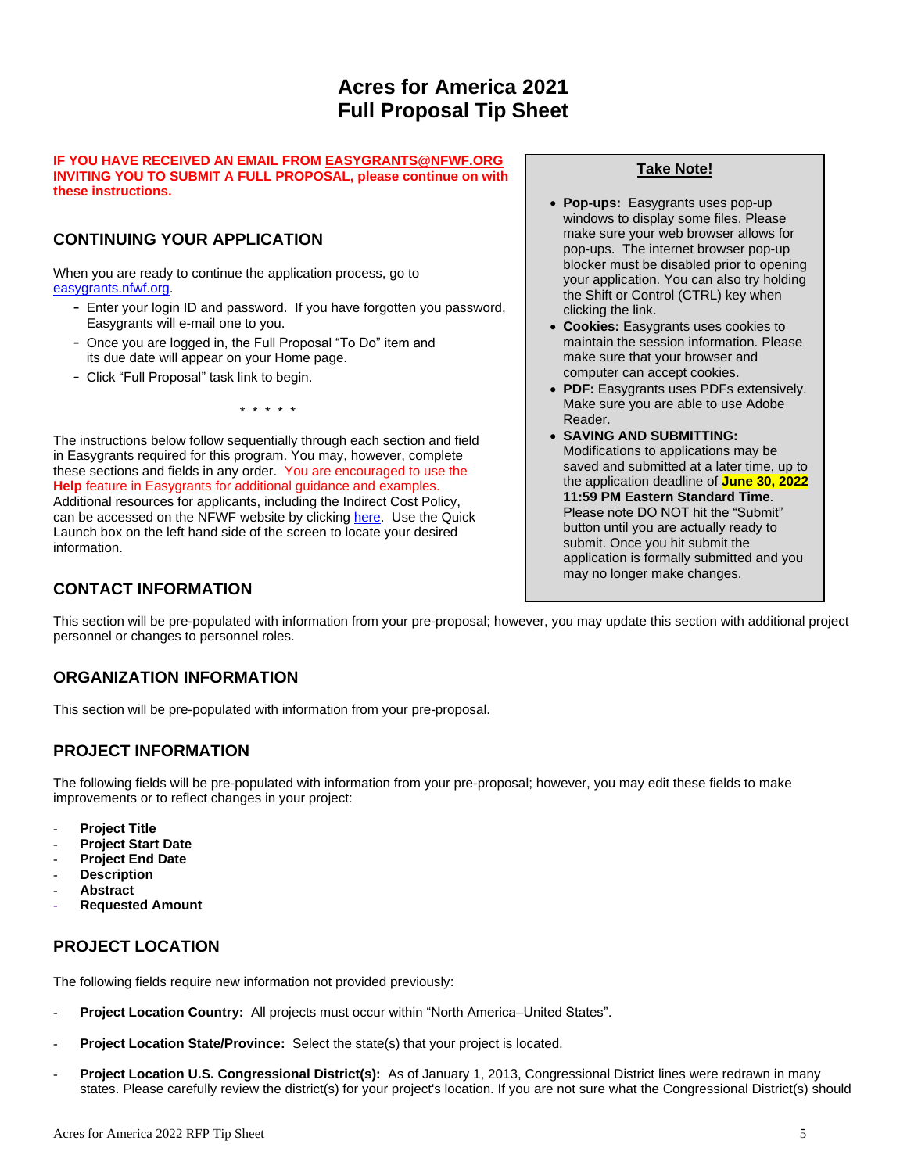# **Acres for America 2021 Full Proposal Tip Sheet**

### **IF YOU HAVE RECEIVED AN EMAIL FROM [EASYGRANTS@NFWF.ORG](mailto:EASYGRANTS@NFWF.ORG) INVITING YOU TO SUBMIT A FULL PROPOSAL, please continue on with these instructions.**

# **CONTINUING YOUR APPLICATION**

When you are ready to continue the application process, go to [easygrants.nfwf.org.](https://easygrants.nfwf.org/)

- Enter your login ID and password. If you have forgotten you password, Easygrants will e-mail one to you.
- Once you are logged in, the Full Proposal "To Do" item and its due date will appear on your Home page.
- Click "Full Proposal" task link to begin.

\* \* \* \* \*

The instructions below follow sequentially through each section and field in Easygrants required for this program. You may, however, complete these sections and fields in any order. You are encouraged to use the **Help** feature in Easygrants for additional guidance and examples. Additional resources for applicants, including the Indirect Cost Policy, can be accessed on the NFWF website by clicking [here.](http://www.nfwf.org/whatwedo/grants/applicants/Pages/home.aspx) Use the Quick Launch box on the left hand side of the screen to locate your desired information.

## **CONTACT INFORMATION**

## **Take Note!**

- **Pop-ups:** Easygrants uses pop-up windows to display some files. Please make sure your web browser allows for pop-ups. The internet browser pop-up blocker must be disabled prior to opening your application. You can also try holding the Shift or Control (CTRL) key when clicking the link.
- **Cookies:** Easygrants uses cookies to maintain the session information. Please make sure that your browser and computer can accept cookies.
- **PDF:** Easygrants uses PDFs extensively. Make sure you are able to use Adobe Reader.
- **SAVING AND SUBMITTING:**  Modifications to applications may be saved and submitted at a later time, up to the application deadline of **June 30, 2022 11:59 PM Eastern Standard Time**. Please note DO NOT hit the "Submit" button until you are actually ready to submit. Once you hit submit the application is formally submitted and you may no longer make changes.

This section will be pre-populated with information from your pre-proposal; however, you may update this section with additional project personnel or changes to personnel roles.

# **ORGANIZATION INFORMATION**

This section will be pre-populated with information from your pre-proposal.

# **PROJECT INFORMATION**

The following fields will be pre-populated with information from your pre-proposal; however, you may edit these fields to make improvements or to reflect changes in your project:

- **Project Title**
- **Project Start Date**
- **Project End Date**
- **Description**
- **Abstract**
- **Requested Amount**

# **PROJECT LOCATION**

The following fields require new information not provided previously:

- Project Location Country: All projects must occur within "North America-United States".
- **Project Location State/Province:** Select the state(s) that your project is located.
- **Project Location U.S. Congressional District(s):** As of January 1, 2013, Congressional District lines were redrawn in many states. Please carefully review the district(s) for your project's location. If you are not sure what the Congressional District(s) should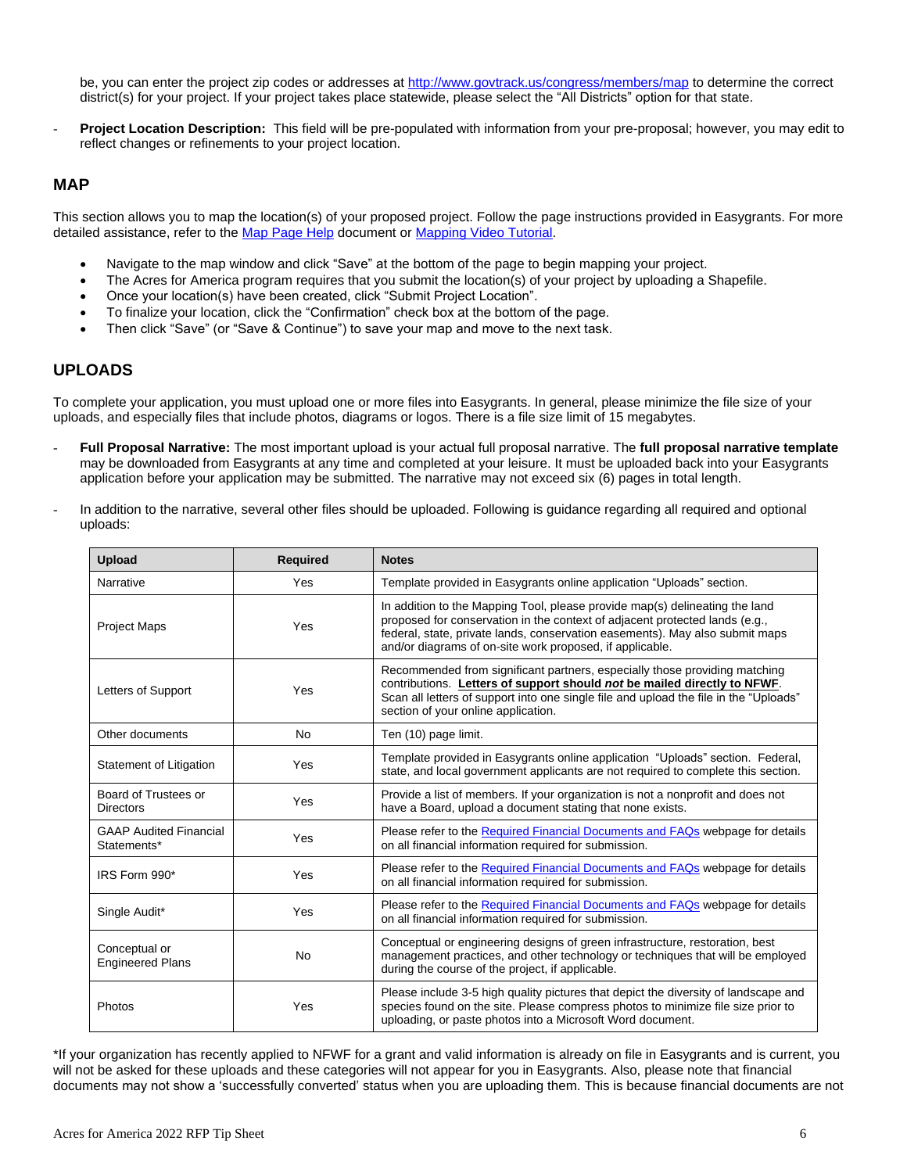be, you can enter the project zip codes or addresse[s at](http://www.govtrack.us/congress/members/map) <http://www.govtrack.us/congress/members/map> to determine the correct district(s) for your project. If your project takes place statewide, please select the "All Districts" option for that state.

**Project Location Description:** This field will be pre-populated with information from your pre-proposal; however, you may edit to reflect changes or refinements to your project location.

### **MAP**

This section allows you to map the location(s) of your proposed project. Follow the page instructions provided in Easygrants. For more detailed assistance, refer to th[e Map Page Help](http://www.nfwf.org/whatwedo/grants/Documents/HelpFile.Proposal.Map.pdf) document o[r Mapping Video Tutorial.](http://www.nfwf.org/whatwedo/grants/applicants/Pages/mapping-tool.aspx#.VfH2mpd1b70)

- Navigate to the map window and click "Save" at the bottom of the page to begin mapping your project.
- The Acres for America program requires that you submit the location(s) of your project by uploading a Shapefile.
- Once your location(s) have been created, click "Submit Project Location".
- To finalize your location, click the "Confirmation" check box at the bottom of the page.
- Then click "Save" (or "Save & Continue") to save your map and move to the next task.

### **UPLOADS**

To complete your application, you must upload one or more files into Easygrants. In general, please minimize the file size of your uploads, and especially files that include photos, diagrams or logos. There is a file size limit of 15 megabytes.

- **Full Proposal Narrative:** The most important upload is your actual full proposal narrative. The **full proposal narrative template** may be downloaded from Easygrants at any time and completed at your leisure. It must be uploaded back into your Easygrants application before your application may be submitted. The narrative may not exceed six (6) pages in total length.
- In addition to the narrative, several other files should be uploaded. Following is guidance regarding all required and optional uploads:

| <b>Upload</b>                                | <b>Required</b> | <b>Notes</b>                                                                                                                                                                                                                                                                                           |
|----------------------------------------------|-----------------|--------------------------------------------------------------------------------------------------------------------------------------------------------------------------------------------------------------------------------------------------------------------------------------------------------|
| Narrative                                    | Yes             | Template provided in Easygrants online application "Uploads" section.                                                                                                                                                                                                                                  |
| <b>Project Maps</b>                          | Yes             | In addition to the Mapping Tool, please provide map(s) delineating the land<br>proposed for conservation in the context of adjacent protected lands (e.g.,<br>federal, state, private lands, conservation easements). May also submit maps<br>and/or diagrams of on-site work proposed, if applicable. |
| Letters of Support                           | Yes             | Recommended from significant partners, especially those providing matching<br>contributions. Letters of support should not be mailed directly to NFWF.<br>Scan all letters of support into one single file and upload the file in the "Uploads"<br>section of your online application.                 |
| Other documents                              | <b>No</b>       | Ten (10) page limit.                                                                                                                                                                                                                                                                                   |
| Statement of Litigation                      | Yes             | Template provided in Easygrants online application "Uploads" section. Federal,<br>state, and local government applicants are not required to complete this section.                                                                                                                                    |
| Board of Trustees or<br><b>Directors</b>     | Yes             | Provide a list of members. If your organization is not a nonprofit and does not<br>have a Board, upload a document stating that none exists.                                                                                                                                                           |
| <b>GAAP Audited Financial</b><br>Statements* | Yes             | Please refer to the Required Financial Documents and FAQs webpage for details<br>on all financial information required for submission.                                                                                                                                                                 |
| IRS Form 990*                                | Yes             | Please refer to the Required Financial Documents and FAQs webpage for details<br>on all financial information required for submission.                                                                                                                                                                 |
| Single Audit*                                | Yes             | Please refer to the Required Financial Documents and FAQs webpage for details<br>on all financial information required for submission.                                                                                                                                                                 |
| Conceptual or<br><b>Engineered Plans</b>     | <b>No</b>       | Conceptual or engineering designs of green infrastructure, restoration, best<br>management practices, and other technology or techniques that will be employed<br>during the course of the project, if applicable.                                                                                     |
| Photos                                       | Yes             | Please include 3-5 high quality pictures that depict the diversity of landscape and<br>species found on the site. Please compress photos to minimize file size prior to<br>uploading, or paste photos into a Microsoft Word document.                                                                  |

\*If your organization has recently applied to NFWF for a grant and valid information is already on file in Easygrants and is current, you will not be asked for these uploads and these categories will not appear for you in Easygrants. Also, please note that financial documents may not show a 'successfully converted' status when you are uploading them. This is because financial documents are not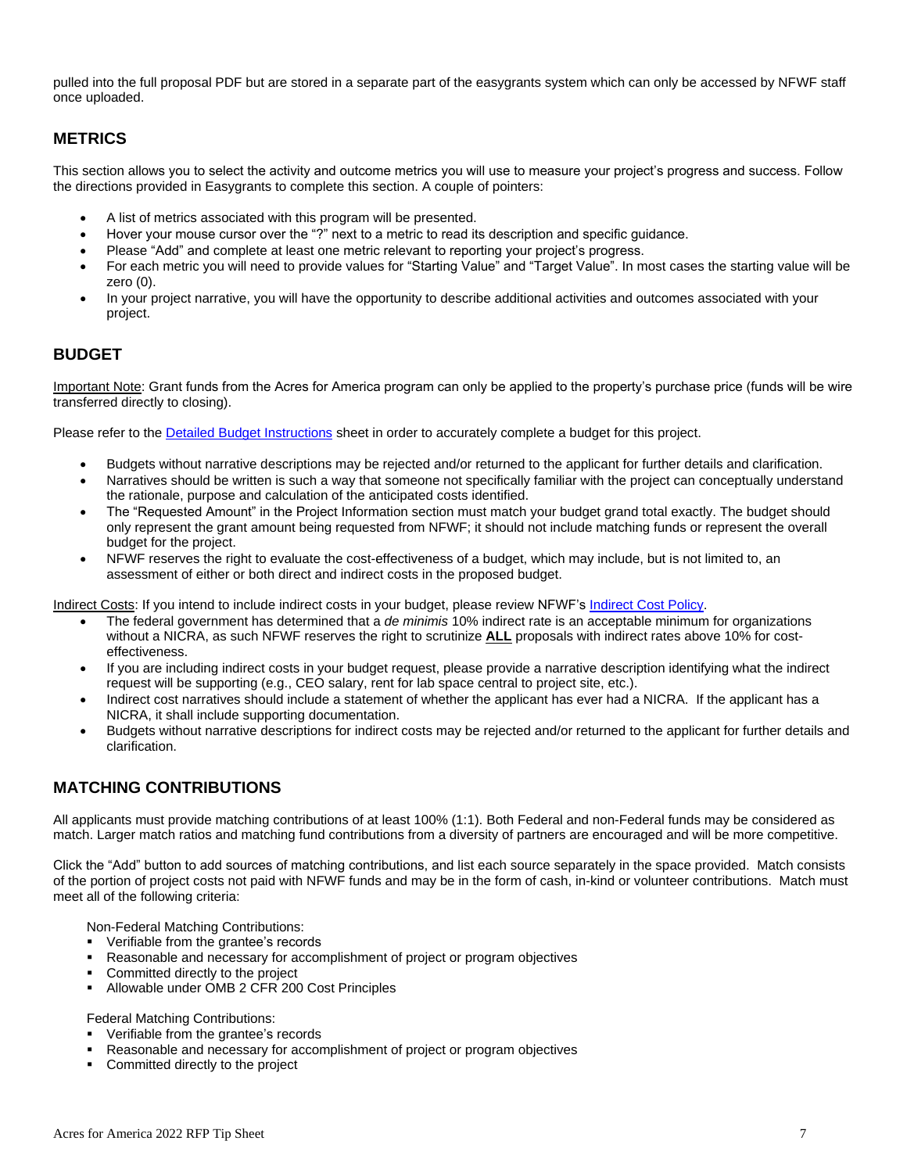pulled into the full proposal PDF but are stored in a separate part of the easygrants system which can only be accessed by NFWF staff once uploaded.

# **METRICS**

This section allows you to select the activity and outcome metrics you will use to measure your project's progress and success. Follow the directions provided in Easygrants to complete this section. A couple of pointers:

- A list of metrics associated with this program will be presented.
- Hover your mouse cursor over the "?" next to a metric to read its description and specific guidance.
- Please "Add" and complete at least one metric relevant to reporting your project's progress.
- For each metric you will need to provide values for "Starting Value" and "Target Value". In most cases the starting value will be zero (0).
- In your project narrative, you will have the opportunity to describe additional activities and outcomes associated with your project.

## **BUDGET**

Important Note: Grant funds from the Acres for America program can only be applied to the property's purchase price (funds will be wire transferred directly to closing).

Please refer to the **Detailed Budget Instructions** sheet in order to accurately complete a budget for this project.

- Budgets without narrative descriptions may be rejected and/or returned to the applicant for further details and clarification.
- Narratives should be written is such a way that someone not specifically familiar with the project can conceptually understand the rationale, purpose and calculation of the anticipated costs identified.
- The "Requested Amount" in the Project Information section must match your budget grand total exactly. The budget should only represent the grant amount being requested from NFWF; it should not include matching funds or represent the overall budget for the project.
- NFWF reserves the right to evaluate the cost-effectiveness of a budget, which may include, but is not limited to, an assessment of either or both direct and indirect costs in the proposed budget.

Indirect Costs: If you intend to include indirect costs in your budget, please review NFWF's [Indirect Cost Policy.](http://www.nfwf.org/whatwedo/grants/applicants/Pages/indirect-policy.aspx)

- The federal government has determined that a *de minimis* 10% indirect rate is an acceptable minimum for organizations without a NICRA, as such NFWF reserves the right to scrutinize **ALL** proposals with indirect rates above 10% for costeffectiveness.
- If you are including indirect costs in your budget request, please provide a narrative description identifying what the indirect request will be supporting (e.g., CEO salary, rent for lab space central to project site, etc.).
- Indirect cost narratives should include a statement of whether the applicant has ever had a NICRA. If the applicant has a NICRA, it shall include supporting documentation.
- Budgets without narrative descriptions for indirect costs may be rejected and/or returned to the applicant for further details and clarification.

# **MATCHING CONTRIBUTIONS**

All applicants must provide matching contributions of at least 100% (1:1). Both Federal and non-Federal funds may be considered as match. Larger match ratios and matching fund contributions from a diversity of partners are encouraged and will be more competitive.

Click the "Add" button to add sources of matching contributions, and list each source separately in the space provided. Match consists of the portion of project costs not paid with NFWF funds and may be in the form of cash, in-kind or volunteer contributions. Match must meet all of the following criteria:

Non-Federal Matching Contributions:

- Verifiable from the grantee's records
- Reasonable and necessary for accomplishment of project or program objectives
- Committed directly to the project
- Allowable under OMB 2 CFR 200 Cost Principles

Federal Matching Contributions:

- Verifiable from the grantee's records
- Reasonable and necessary for accomplishment of project or program objectives
- Committed directly to the project